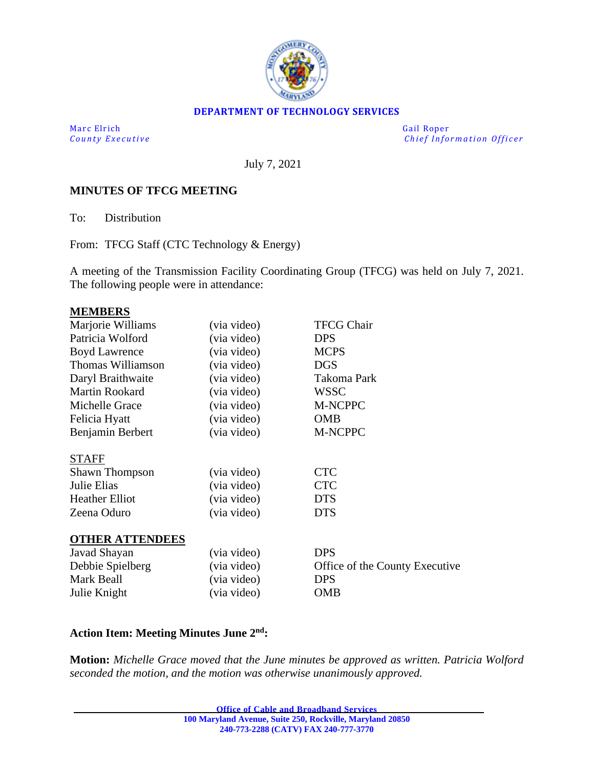

#### **DEPARTMENT OF TECHNOLOGY SERVICES**

Marc Elrich Gail Roper

*County Executive* **Executive** *County Executive Chief Information Officer* 

July 7, 2021

### **MINUTES OF TFCG MEETING**

To: Distribution

From: TFCG Staff (CTC Technology & Energy)

A meeting of the Transmission Facility Coordinating Group (TFCG) was held on July 7, 2021. The following people were in attendance:

#### **MEMBERS**

| Marjorie Williams      | (via video) | <b>TFCG Chair</b>              |
|------------------------|-------------|--------------------------------|
| Patricia Wolford       | (via video) | <b>DPS</b>                     |
| <b>Boyd Lawrence</b>   | (via video) | <b>MCPS</b>                    |
| Thomas Williamson      | (via video) | <b>DGS</b>                     |
| Daryl Braithwaite      | (via video) | Takoma Park                    |
| Martin Rookard         | (via video) | <b>WSSC</b>                    |
| Michelle Grace         | (via video) | M-NCPPC                        |
| Felicia Hyatt          | (via video) | <b>OMB</b>                     |
| Benjamin Berbert       | (via video) | M-NCPPC                        |
| <b>STAFF</b>           |             |                                |
| <b>Shawn Thompson</b>  | (via video) | <b>CTC</b>                     |
| Julie Elias            | (via video) | <b>CTC</b>                     |
| <b>Heather Elliot</b>  | (via video) | <b>DTS</b>                     |
| Zeena Oduro            | (via video) | <b>DTS</b>                     |
| <b>OTHER ATTENDEES</b> |             |                                |
| Javad Shayan           | (via video) | <b>DPS</b>                     |
| Debbie Spielberg       | (via video) | Office of the County Executive |
| Mark Beall             | (via video) | <b>DPS</b>                     |
| Julie Knight           | (via video) | <b>OMB</b>                     |

#### **Action Item: Meeting Minutes June 2 nd:**

**Motion:** *Michelle Grace moved that the June minutes be approved as written. Patricia Wolford seconded the motion, and the motion was otherwise unanimously approved.*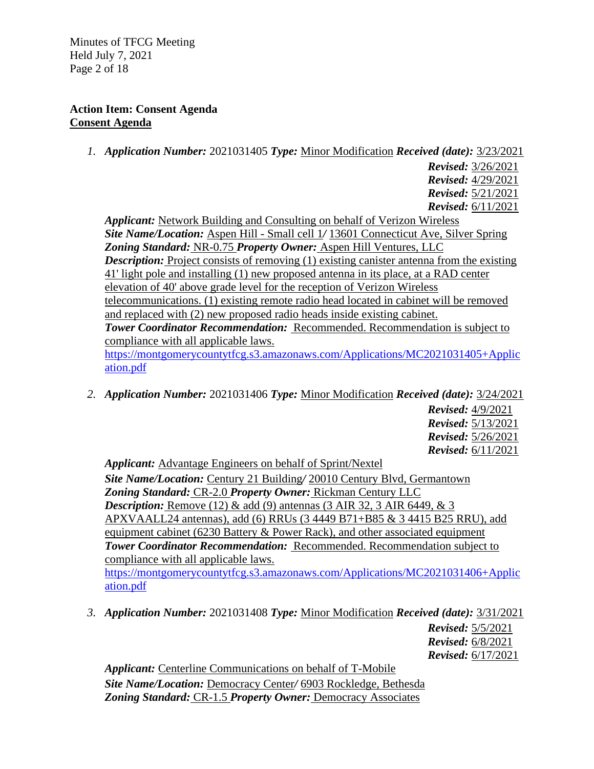Minutes of TFCG Meeting Held July 7, 2021 Page 2 of 18

### **Action Item: Consent Agenda Consent Agenda**

- *1. Application Number:* 2021031405 *Type:* Minor Modification *Received (date):* 3/23/2021
	- *Revised:* 3/26/2021 *Revised:* 4/29/2021 *Revised:* 5/21/2021 *Revised:* 6/11/2021

*Applicant:* Network Building and Consulting on behalf of Verizon Wireless *Site Name/Location:* Aspen Hill - Small cell 1*/* 13601 Connecticut Ave, Silver Spring *Zoning Standard:* NR-0.75 *Property Owner:* Aspen Hill Ventures, LLC *Description:* Project consists of removing (1) existing canister antenna from the existing 41' light pole and installing (1) new proposed antenna in its place, at a RAD center elevation of 40' above grade level for the reception of Verizon Wireless telecommunications. (1) existing remote radio head located in cabinet will be removed and replaced with (2) new proposed radio heads inside existing cabinet. *Tower Coordinator Recommendation:* Recommended. Recommendation is subject to compliance with all applicable laws.

[https://montgomerycountytfcg.s3.amazonaws.com/Applications/MC2021031405+Applic](https://montgomerycountytfcg.s3.amazonaws.com/Applications/MC2021031405+Application.pdf) [ation.pdf](https://montgomerycountytfcg.s3.amazonaws.com/Applications/MC2021031405+Application.pdf)

*2. Application Number:* 2021031406 *Type:* Minor Modification *Received (date):* 3/24/2021

*Revised:* 4/9/2021 *Revised:* 5/13/2021 *Revised:* 5/26/2021 *Revised:* 6/11/2021

*Applicant:* Advantage Engineers on behalf of Sprint/Nextel *Site Name/Location:* Century 21 Building*/* 20010 Century Blvd, Germantown *Zoning Standard:* CR-2.0 *Property Owner:* Rickman Century LLC *Description:* Remove (12) & add (9) antennas (3 AIR 32, 3 AIR 6449, & 3 APXVAALL24 antennas), add (6) RRUs (3 4449 B71+B85 & 3 4415 B25 RRU), add equipment cabinet (6230 Battery & Power Rack), and other associated equipment *Tower Coordinator Recommendation:* Recommended. Recommendation subject to compliance with all applicable laws. [https://montgomerycountytfcg.s3.amazonaws.com/Applications/MC2021031406+Applic](https://montgomerycountytfcg.s3.amazonaws.com/Applications/MC2021031406+Application.pdf) [ation.pdf](https://montgomerycountytfcg.s3.amazonaws.com/Applications/MC2021031406+Application.pdf)

*3. Application Number:* 2021031408 *Type:* Minor Modification *Received (date):* 3/31/2021

*Revised:* 5/5/2021 *Revised:* 6/8/2021 *Revised:* 6/17/2021

*Applicant:* Centerline Communications on behalf of T-Mobile *Site Name/Location:* Democracy Center*/* 6903 Rockledge, Bethesda *Zoning Standard:* CR-1.5 *Property Owner:* Democracy Associates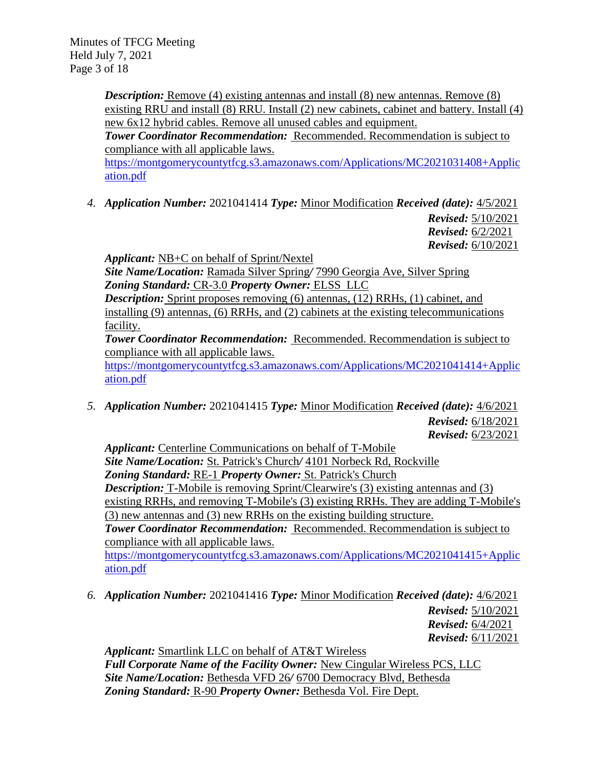*Description:* Remove (4) existing antennas and install (8) new antennas. Remove (8) existing RRU and install (8) RRU. Install (2) new cabinets, cabinet and battery. Install (4) new 6x12 hybrid cables. Remove all unused cables and equipment.

*Tower Coordinator Recommendation:* Recommended. Recommendation is subject to compliance with all applicable laws.

[https://montgomerycountytfcg.s3.amazonaws.com/Applications/MC2021031408+Applic](https://montgomerycountytfcg.s3.amazonaws.com/Applications/MC2021031408+Application.pdf) [ation.pdf](https://montgomerycountytfcg.s3.amazonaws.com/Applications/MC2021031408+Application.pdf)

*4. Application Number:* 2021041414 *Type:* Minor Modification *Received (date):* 4/5/2021

*Revised:* 5/10/2021 *Revised:* 6/2/2021 *Revised:* 6/10/2021

*Applicant:* NB+C on behalf of Sprint/Nextel

*Site Name/Location:* Ramada Silver Spring*/* 7990 Georgia Ave, Silver Spring *Zoning Standard:* CR-3.0 *Property Owner:* ELSS LLC

*Description:* Sprint proposes removing (6) antennas, (12) RRHs, (1) cabinet, and installing (9) antennas, (6) RRHs, and (2) cabinets at the existing telecommunications facility.

*Tower Coordinator Recommendation:* Recommended. Recommendation is subject to compliance with all applicable laws.

[https://montgomerycountytfcg.s3.amazonaws.com/Applications/MC2021041414+Applic](https://montgomerycountytfcg.s3.amazonaws.com/Applications/MC2021041414+Application.pdf) [ation.pdf](https://montgomerycountytfcg.s3.amazonaws.com/Applications/MC2021041414+Application.pdf)

*5. Application Number:* 2021041415 *Type:* Minor Modification *Received (date):* 4/6/2021 *Revised:* 6/18/2021

*Revised:* 6/23/2021

*Applicant:* Centerline Communications on behalf of T-Mobile *Site Name/Location:* St. Patrick's Church*/* 4101 Norbeck Rd, Rockville *Zoning Standard:* RE-1 *Property Owner:* St. Patrick's Church **Description:** T-Mobile is removing Sprint/Clearwire's (3) existing antennas and (3) existing RRHs, and removing T-Mobile's (3) existing RRHs. They are adding T-Mobile's (3) new antennas and (3) new RRHs on the existing building structure. *Tower Coordinator Recommendation:* Recommended. Recommendation is subject to compliance with all applicable laws.

[https://montgomerycountytfcg.s3.amazonaws.com/Applications/MC2021041415+Applic](https://montgomerycountytfcg.s3.amazonaws.com/Applications/MC2021041415+Application.pdf) [ation.pdf](https://montgomerycountytfcg.s3.amazonaws.com/Applications/MC2021041415+Application.pdf)

*6. Application Number:* 2021041416 *Type:* Minor Modification *Received (date):* 4/6/2021

*Revised:* 5/10/2021 *Revised:* 6/4/2021 *Revised:* 6/11/2021

*Applicant:* Smartlink LLC on behalf of AT&T Wireless *Full Corporate Name of the Facility Owner:* New Cingular Wireless PCS, LLC *Site Name/Location:* Bethesda VFD 26*/* 6700 Democracy Blvd, Bethesda *Zoning Standard:* R-90 *Property Owner:* Bethesda Vol. Fire Dept.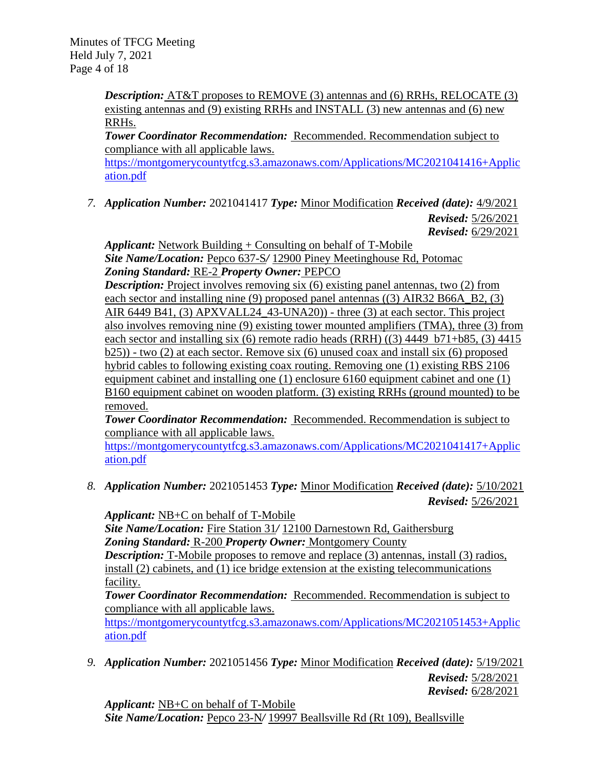*Description:* AT&T proposes to REMOVE (3) antennas and (6) RRHs, RELOCATE (3) existing antennas and (9) existing RRHs and INSTALL (3) new antennas and (6) new RRHs.

*Tower Coordinator Recommendation:* Recommended. Recommendation subject to compliance with all applicable laws.

[https://montgomerycountytfcg.s3.amazonaws.com/Applications/MC2021041416+Applic](https://montgomerycountytfcg.s3.amazonaws.com/Applications/MC2021041416+Application.pdf) [ation.pdf](https://montgomerycountytfcg.s3.amazonaws.com/Applications/MC2021041416+Application.pdf)

*7. Application Number:* 2021041417 *Type:* Minor Modification *Received (date):* 4/9/2021

*Revised:* 5/26/2021 *Revised:* 6/29/2021

*Applicant:* Network Building + Consulting on behalf of T-Mobile *Site Name/Location:* Pepco 637-S*/* 12900 Piney Meetinghouse Rd, Potomac *Zoning Standard:* RE-2 *Property Owner:* PEPCO

*Description:* Project involves removing six (6) existing panel antennas, two (2) from each sector and installing nine (9) proposed panel antennas ((3) AIR32 B66A\_B2, (3) AIR 6449 B41, (3) APXVALL24\_43-UNA20)) - three (3) at each sector. This project also involves removing nine (9) existing tower mounted amplifiers (TMA), three (3) from each sector and installing six (6) remote radio heads (RRH) ((3) 4449 b71+b85, (3) 4415  $b(25)$ ) - two (2) at each sector. Remove six (6) unused coax and install six (6) proposed hybrid cables to following existing coax routing. Removing one (1) existing RBS 2106 equipment cabinet and installing one (1) enclosure 6160 equipment cabinet and one (1) B160 equipment cabinet on wooden platform. (3) existing RRHs (ground mounted) to be removed.

*Tower Coordinator Recommendation:* Recommended. Recommendation is subject to compliance with all applicable laws.

[https://montgomerycountytfcg.s3.amazonaws.com/Applications/MC2021041417+Applic](https://montgomerycountytfcg.s3.amazonaws.com/Applications/MC2021041417+Application.pdf) [ation.pdf](https://montgomerycountytfcg.s3.amazonaws.com/Applications/MC2021041417+Application.pdf)

*8. Application Number:* 2021051453 *Type:* Minor Modification *Received (date):* 5/10/2021 *Revised:* 5/26/2021

*Applicant:* NB+C on behalf of T-Mobile

*Site Name/Location:* Fire Station 31*/* 12100 Darnestown Rd, Gaithersburg *Zoning Standard:* R-200 *Property Owner:* Montgomery County

*Description:* T-Mobile proposes to remove and replace (3) antennas, install (3) radios, install (2) cabinets, and (1) ice bridge extension at the existing telecommunications facility.

*Tower Coordinator Recommendation:* Recommended. Recommendation is subject to compliance with all applicable laws.

[https://montgomerycountytfcg.s3.amazonaws.com/Applications/MC2021051453+Applic](https://montgomerycountytfcg.s3.amazonaws.com/Applications/MC2021051453+Application.pdf) [ation.pdf](https://montgomerycountytfcg.s3.amazonaws.com/Applications/MC2021051453+Application.pdf)

*9. Application Number:* 2021051456 *Type:* Minor Modification *Received (date):* 5/19/2021

*Revised:* 5/28/2021 *Revised:* 6/28/2021

*Applicant:* NB+C on behalf of T-Mobile *Site Name/Location:* Pepco 23-N*/* 19997 Beallsville Rd (Rt 109), Beallsville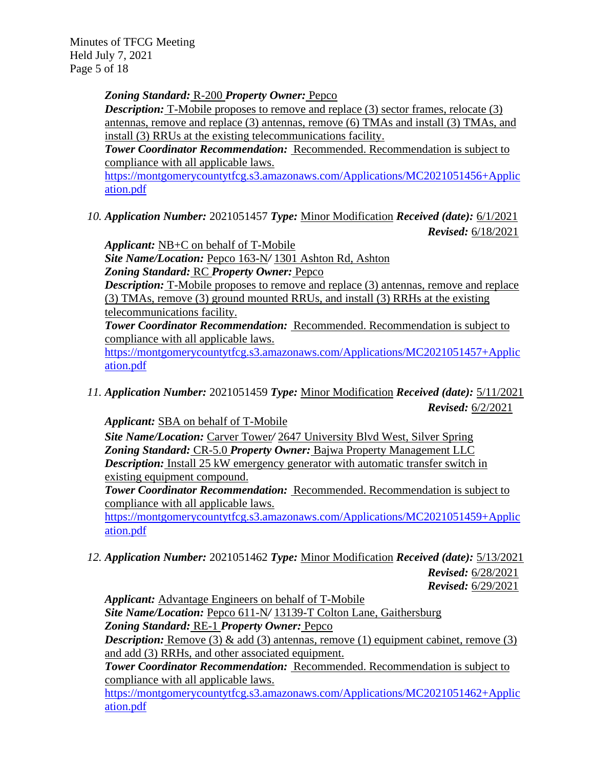Minutes of TFCG Meeting Held July 7, 2021 Page 5 of 18

*Zoning Standard:* R-200 *Property Owner:* Pepco

**Description:** T-Mobile proposes to remove and replace (3) sector frames, relocate (3) antennas, remove and replace (3) antennas, remove (6) TMAs and install (3) TMAs, and install (3) RRUs at the existing telecommunications facility.

*Tower Coordinator Recommendation:* Recommended. Recommendation is subject to compliance with all applicable laws.

[https://montgomerycountytfcg.s3.amazonaws.com/Applications/MC2021051456+Applic](https://montgomerycountytfcg.s3.amazonaws.com/Applications/MC2021051456+Application.pdf) [ation.pdf](https://montgomerycountytfcg.s3.amazonaws.com/Applications/MC2021051456+Application.pdf)

*10. Application Number:* 2021051457 *Type:* Minor Modification *Received (date):* 6/1/2021 *Revised:* 6/18/2021

*Applicant:* NB+C on behalf of T-Mobile

*Site Name/Location:* Pepco 163-N*/* 1301 Ashton Rd, Ashton *Zoning Standard:* RC *Property Owner:* Pepco

*Description:* T-Mobile proposes to remove and replace (3) antennas, remove and replace (3) TMAs, remove (3) ground mounted RRUs, and install (3) RRHs at the existing telecommunications facility.

*Tower Coordinator Recommendation:* Recommended. Recommendation is subject to compliance with all applicable laws.

[https://montgomerycountytfcg.s3.amazonaws.com/Applications/MC2021051457+Applic](https://montgomerycountytfcg.s3.amazonaws.com/Applications/MC2021051457+Application.pdf) [ation.pdf](https://montgomerycountytfcg.s3.amazonaws.com/Applications/MC2021051457+Application.pdf)

*11. Application Number:* 2021051459 *Type:* Minor Modification *Received (date):* 5/11/2021 *Revised:* 6/2/2021

*Applicant:* SBA on behalf of T-Mobile

*Site Name/Location:* Carver Tower*/* 2647 University Blvd West, Silver Spring *Zoning Standard:* CR-5.0 *Property Owner:* Bajwa Property Management LLC *Description:* Install 25 kW emergency generator with automatic transfer switch in existing equipment compound.

*Tower Coordinator Recommendation:* Recommended. Recommendation is subject to compliance with all applicable laws.

[https://montgomerycountytfcg.s3.amazonaws.com/Applications/MC2021051459+Applic](https://montgomerycountytfcg.s3.amazonaws.com/Applications/MC2021051459+Application.pdf) [ation.pdf](https://montgomerycountytfcg.s3.amazonaws.com/Applications/MC2021051459+Application.pdf)

*12. Application Number:* 2021051462 *Type:* Minor Modification *Received (date):* 5/13/2021

*Revised:* 6/28/2021 *Revised:* 6/29/2021

*Applicant:* Advantage Engineers on behalf of T-Mobile

*Site Name/Location:* Pepco 611-N*/* 13139-T Colton Lane, Gaithersburg *Zoning Standard:* RE-1 *Property Owner:* Pepco

*Description:* Remove (3) & add (3) antennas, remove (1) equipment cabinet, remove (3) and add (3) RRHs, and other associated equipment.

*Tower Coordinator Recommendation:* Recommended. Recommendation is subject to compliance with all applicable laws.

[https://montgomerycountytfcg.s3.amazonaws.com/Applications/MC2021051462+Applic](https://montgomerycountytfcg.s3.amazonaws.com/Applications/MC2021051462+Application.pdf) [ation.pdf](https://montgomerycountytfcg.s3.amazonaws.com/Applications/MC2021051462+Application.pdf)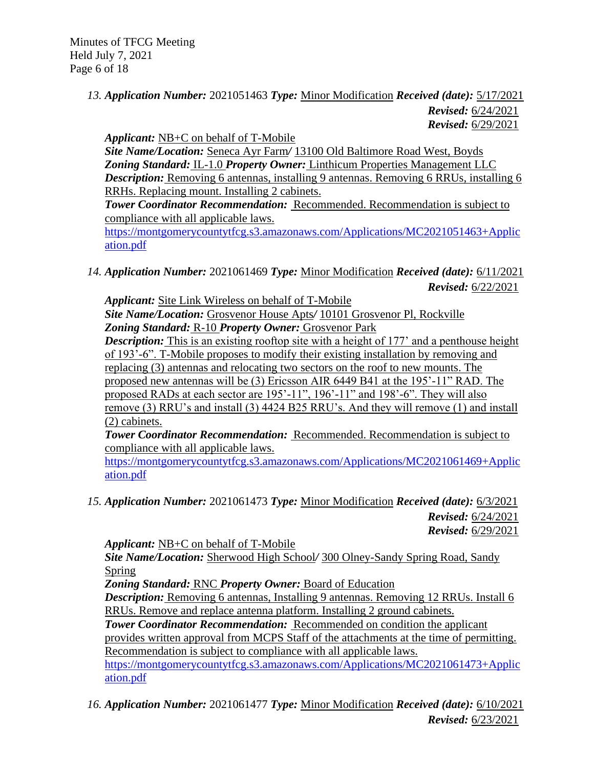Minutes of TFCG Meeting Held July 7, 2021 Page 6 of 18

## *13. Application Number:* 2021051463 *Type:* Minor Modification *Received (date):* 5/17/2021 *Revised:* 6/24/2021 *Revised:* 6/29/2021

*Applicant:* NB+C on behalf of T-Mobile

*Site Name/Location:* Seneca Ayr Farm*/* 13100 Old Baltimore Road West, Boyds *Zoning Standard:* IL-1.0 *Property Owner:* Linthicum Properties Management LLC *Description:* Removing 6 antennas, installing 9 antennas. Removing 6 RRUs, installing 6 RRHs. Replacing mount. Installing 2 cabinets.

*Tower Coordinator Recommendation:* Recommended. Recommendation is subject to compliance with all applicable laws.

[https://montgomerycountytfcg.s3.amazonaws.com/Applications/MC2021051463+Applic](https://montgomerycountytfcg.s3.amazonaws.com/Applications/MC2021051463+Application.pdf) [ation.pdf](https://montgomerycountytfcg.s3.amazonaws.com/Applications/MC2021051463+Application.pdf)

*14. Application Number:* 2021061469 *Type:* Minor Modification *Received (date):* 6/11/2021 *Revised:* 6/22/2021

*Applicant:* Site Link Wireless on behalf of T-Mobile *Site Name/Location:* Grosvenor House Apts*/* 10101 Grosvenor Pl, Rockville

*Zoning Standard:* R-10 *Property Owner:* Grosvenor Park

*Description:* This is an existing rooftop site with a height of 177' and a penthouse height of 193'-6". T-Mobile proposes to modify their existing installation by removing and replacing (3) antennas and relocating two sectors on the roof to new mounts. The proposed new antennas will be (3) Ericsson AIR 6449 B41 at the 195'-11" RAD. The proposed RADs at each sector are 195'-11", 196'-11" and 198'-6". They will also remove (3) RRU's and install (3) 4424 B25 RRU's. And they will remove (1) and install (2) cabinets.

*Tower Coordinator Recommendation:* Recommended. Recommendation is subject to compliance with all applicable laws.

[https://montgomerycountytfcg.s3.amazonaws.com/Applications/MC2021061469+Applic](https://montgomerycountytfcg.s3.amazonaws.com/Applications/MC2021061469+Application.pdf) [ation.pdf](https://montgomerycountytfcg.s3.amazonaws.com/Applications/MC2021061469+Application.pdf)

*15. Application Number:* 2021061473 *Type:* Minor Modification *Received (date):* 6/3/2021 *Revised:* 6/24/2021

*Revised:* 6/29/2021

*Applicant:* NB+C on behalf of T-Mobile

*Site Name/Location:* Sherwood High School*/* 300 Olney-Sandy Spring Road, Sandy Spring

*Zoning Standard:* RNC *Property Owner:* Board of Education

*Description:* Removing 6 antennas, Installing 9 antennas. Removing 12 RRUs. Install 6 RRUs. Remove and replace antenna platform. Installing 2 ground cabinets.

*Tower Coordinator Recommendation:* Recommended on condition the applicant provides written approval from MCPS Staff of the attachments at the time of permitting. Recommendation is subject to compliance with all applicable laws.

[https://montgomerycountytfcg.s3.amazonaws.com/Applications/MC2021061473+Applic](https://montgomerycountytfcg.s3.amazonaws.com/Applications/MC2021061473+Application.pdf) [ation.pdf](https://montgomerycountytfcg.s3.amazonaws.com/Applications/MC2021061473+Application.pdf)

*16. Application Number:* 2021061477 *Type:* Minor Modification *Received (date):* 6/10/2021 *Revised:* 6/23/2021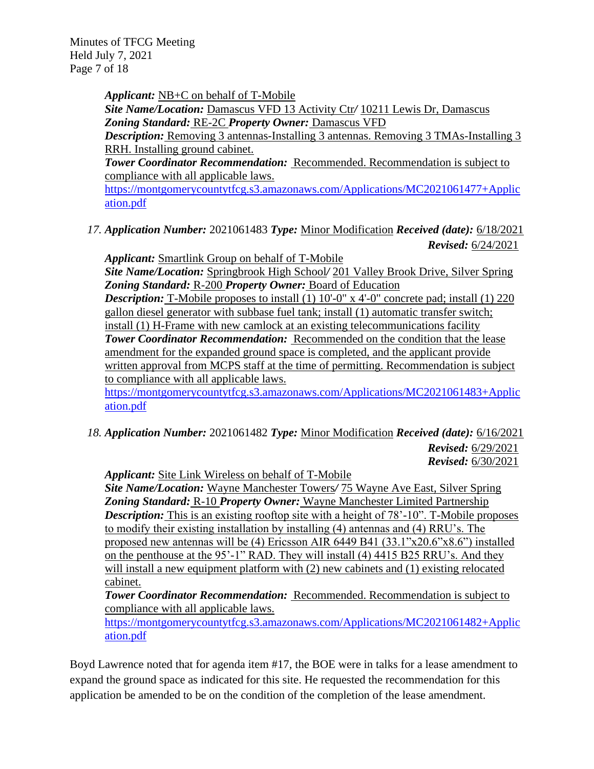Minutes of TFCG Meeting Held July 7, 2021 Page 7 of 18

> *Applicant:* NB+C on behalf of T-Mobile *Site Name/Location:* Damascus VFD 13 Activity Ctr*/* 10211 Lewis Dr, Damascus *Zoning Standard:* RE-2C *Property Owner:* Damascus VFD *Description:* Removing 3 antennas-Installing 3 antennas. Removing 3 TMAs-Installing 3 RRH. Installing ground cabinet. *Tower Coordinator Recommendation:* Recommended. Recommendation is subject to compliance with all applicable laws.

> [https://montgomerycountytfcg.s3.amazonaws.com/Applications/MC2021061477+Applic](https://montgomerycountytfcg.s3.amazonaws.com/Applications/MC2021061477+Application.pdf) [ation.pdf](https://montgomerycountytfcg.s3.amazonaws.com/Applications/MC2021061477+Application.pdf)

*17. Application Number:* 2021061483 *Type:* Minor Modification *Received (date):* 6/18/2021 *Revised:* 6/24/2021

*Applicant:* Smartlink Group on behalf of T-Mobile *Site Name/Location:* Springbrook High School*/* 201 Valley Brook Drive, Silver Spring *Zoning Standard:* R-200 *Property Owner:* Board of Education *Description:* T-Mobile proposes to install (1) 10'-0" x 4'-0" concrete pad; install (1) 220 gallon diesel generator with subbase fuel tank; install (1) automatic transfer switch; install (1) H-Frame with new camlock at an existing telecommunications facility *Tower Coordinator Recommendation:* Recommended on the condition that the lease amendment for the expanded ground space is completed, and the applicant provide written approval from MCPS staff at the time of permitting. Recommendation is subject to compliance with all applicable laws. [https://montgomerycountytfcg.s3.amazonaws.com/Applications/MC2021061483+Applic](https://montgomerycountytfcg.s3.amazonaws.com/Applications/MC2021061483+Application.pdf) [ation.pdf](https://montgomerycountytfcg.s3.amazonaws.com/Applications/MC2021061483+Application.pdf)

*18. Application Number:* 2021061482 *Type:* Minor Modification *Received (date):* 6/16/2021 *Revised:* 6/29/2021 *Revised:* 6/30/2021

*Applicant:* Site Link Wireless on behalf of T-Mobile

*Site Name/Location:* Wayne Manchester Towers*/* 75 Wayne Ave East, Silver Spring *Zoning Standard:* R-10 *Property Owner:* Wayne Manchester Limited Partnership *Description:* This is an existing rooftop site with a height of 78'-10". T-Mobile proposes to modify their existing installation by installing (4) antennas and (4) RRU's. The proposed new antennas will be (4) Ericsson AIR 6449 B41 (33.1"x20.6"x8.6") installed on the penthouse at the 95'-1" RAD. They will install (4) 4415 B25 RRU's. And they will install a new equipment platform with (2) new cabinets and (1) existing relocated cabinet.

*Tower Coordinator Recommendation:* Recommended. Recommendation is subject to compliance with all applicable laws.

[https://montgomerycountytfcg.s3.amazonaws.com/Applications/MC2021061482+Applic](https://montgomerycountytfcg.s3.amazonaws.com/Applications/MC2021061482+Application.pdf) [ation.pdf](https://montgomerycountytfcg.s3.amazonaws.com/Applications/MC2021061482+Application.pdf)

Boyd Lawrence noted that for agenda item #17, the BOE were in talks for a lease amendment to expand the ground space as indicated for this site. He requested the recommendation for this application be amended to be on the condition of the completion of the lease amendment.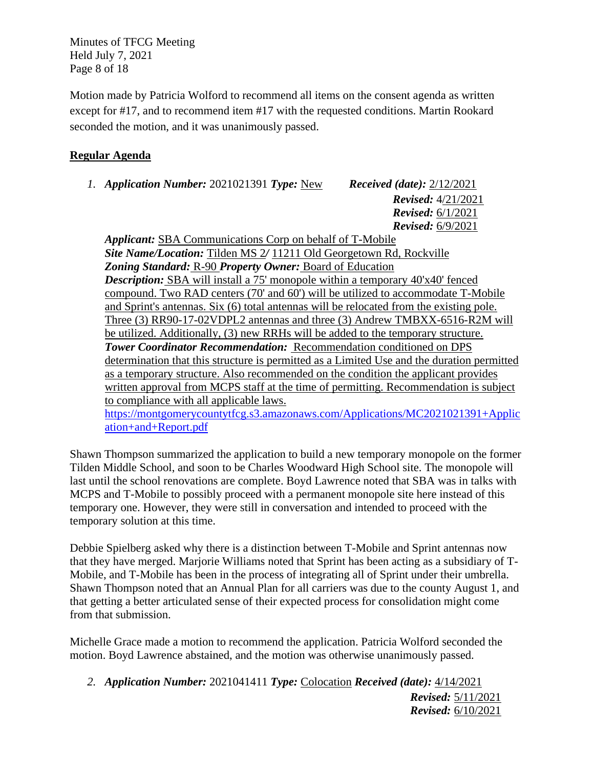Minutes of TFCG Meeting Held July 7, 2021 Page 8 of 18

Motion made by Patricia Wolford to recommend all items on the consent agenda as written except for #17, and to recommend item #17 with the requested conditions. Martin Rookard seconded the motion, and it was unanimously passed.

# **Regular Agenda**

*1. Application Number:* 2021021391 *Type:* New *Received (date):* 2/12/2021

*Revised:* 4/21/2021 *Revised:* 6/1/2021 *Revised:* 6/9/2021

*Applicant:* SBA Communications Corp on behalf of T-Mobile *Site Name/Location:* Tilden MS 2*/* 11211 Old Georgetown Rd, Rockville *Zoning Standard:* R-90 *Property Owner:* Board of Education *Description:* SBA will install a 75' monopole within a temporary 40'x40' fenced compound. Two RAD centers (70' and 60') will be utilized to accommodate T-Mobile and Sprint's antennas. Six (6) total antennas will be relocated from the existing pole. Three (3) RR90-17-02VDPL2 antennas and three (3) Andrew TMBXX-6516-R2M will be utilized. Additionally, (3) new RRHs will be added to the temporary structure. **Tower Coordinator Recommendation: Recommendation conditioned on DPS** determination that this structure is permitted as a Limited Use and the duration permitted as a temporary structure. Also recommended on the condition the applicant provides written approval from MCPS staff at the time of permitting. Recommendation is subject to compliance with all applicable laws.

[https://montgomerycountytfcg.s3.amazonaws.com/Applications/MC2021021391+Applic](https://montgomerycountytfcg.s3.amazonaws.com/Applications/MC2021021391+Application+and+Report.pdf) [ation+and+Report.pdf](https://montgomerycountytfcg.s3.amazonaws.com/Applications/MC2021021391+Application+and+Report.pdf)

Shawn Thompson summarized the application to build a new temporary monopole on the former Tilden Middle School, and soon to be Charles Woodward High School site. The monopole will last until the school renovations are complete. Boyd Lawrence noted that SBA was in talks with MCPS and T-Mobile to possibly proceed with a permanent monopole site here instead of this temporary one. However, they were still in conversation and intended to proceed with the temporary solution at this time.

Debbie Spielberg asked why there is a distinction between T-Mobile and Sprint antennas now that they have merged. Marjorie Williams noted that Sprint has been acting as a subsidiary of T-Mobile, and T-Mobile has been in the process of integrating all of Sprint under their umbrella. Shawn Thompson noted that an Annual Plan for all carriers was due to the county August 1, and that getting a better articulated sense of their expected process for consolidation might come from that submission.

Michelle Grace made a motion to recommend the application. Patricia Wolford seconded the motion. Boyd Lawrence abstained, and the motion was otherwise unanimously passed.

*2. Application Number:* 2021041411 *Type:* Colocation *Received (date):* 4/14/2021 *Revised:* 5/11/2021 *Revised:* 6/10/2021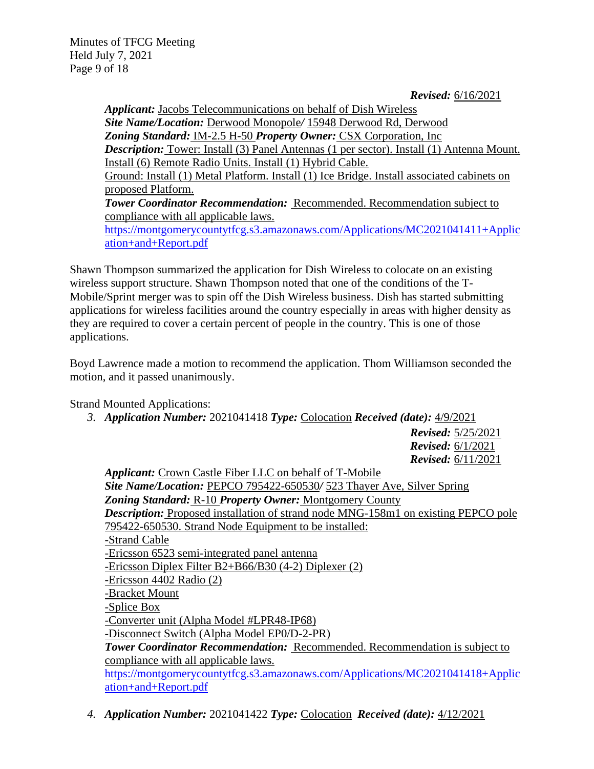*Revised:* 6/16/2021

*Applicant:* Jacobs Telecommunications on behalf of Dish Wireless *Site Name/Location:* Derwood Monopole*/* 15948 Derwood Rd, Derwood *Zoning Standard:* IM-2.5 H-50 *Property Owner:* CSX Corporation, Inc **Description:** Tower: Install (3) Panel Antennas (1 per sector). Install (1) Antenna Mount. Install (6) Remote Radio Units. Install (1) Hybrid Cable. Ground: Install (1) Metal Platform. Install (1) Ice Bridge. Install associated cabinets on proposed Platform. **Tower Coordinator Recommendation:** Recommended. Recommendation subject to compliance with all applicable laws. [https://montgomerycountytfcg.s3.amazonaws.com/Applications/MC2021041411+Applic](https://montgomerycountytfcg.s3.amazonaws.com/Applications/MC2021041411+Application+and+Report.pdf) [ation+and+Report.pdf](https://montgomerycountytfcg.s3.amazonaws.com/Applications/MC2021041411+Application+and+Report.pdf)

Shawn Thompson summarized the application for Dish Wireless to colocate on an existing wireless support structure. Shawn Thompson noted that one of the conditions of the T-Mobile/Sprint merger was to spin off the Dish Wireless business. Dish has started submitting applications for wireless facilities around the country especially in areas with higher density as they are required to cover a certain percent of people in the country. This is one of those applications.

Boyd Lawrence made a motion to recommend the application. Thom Williamson seconded the motion, and it passed unanimously.

Strand Mounted Applications:

*3. Application Number:* 2021041418 *Type:* Colocation *Received (date):* 4/9/2021

*Revised:* 5/25/2021 *Revised:* 6/1/2021 *Revised:* 6/11/2021

*Applicant:* Crown Castle Fiber LLC on behalf of T-Mobile *Site Name/Location:* PEPCO 795422-650530*/* 523 Thayer Ave, Silver Spring *Zoning Standard:* R-10 *Property Owner:* Montgomery County *Description:* Proposed installation of strand node MNG-158m1 on existing PEPCO pole 795422-650530. Strand Node Equipment to be installed: -Strand Cable -Ericsson 6523 semi-integrated panel antenna -Ericsson Diplex Filter B2+B66/B30 (4-2) Diplexer (2) -Ericsson 4402 Radio (2) -Bracket Mount -Splice Box -Converter unit (Alpha Model #LPR48-IP68) -Disconnect Switch (Alpha Model EP0/D-2-PR) *Tower Coordinator Recommendation:* Recommended. Recommendation is subject to compliance with all applicable laws. [https://montgomerycountytfcg.s3.amazonaws.com/Applications/MC2021041418+Applic](https://montgomerycountytfcg.s3.amazonaws.com/Applications/MC2021041418+Application+and+Report.pdf) [ation+and+Report.pdf](https://montgomerycountytfcg.s3.amazonaws.com/Applications/MC2021041418+Application+and+Report.pdf)

*4. Application Number:* 2021041422 *Type:* Colocation *Received (date):* 4/12/2021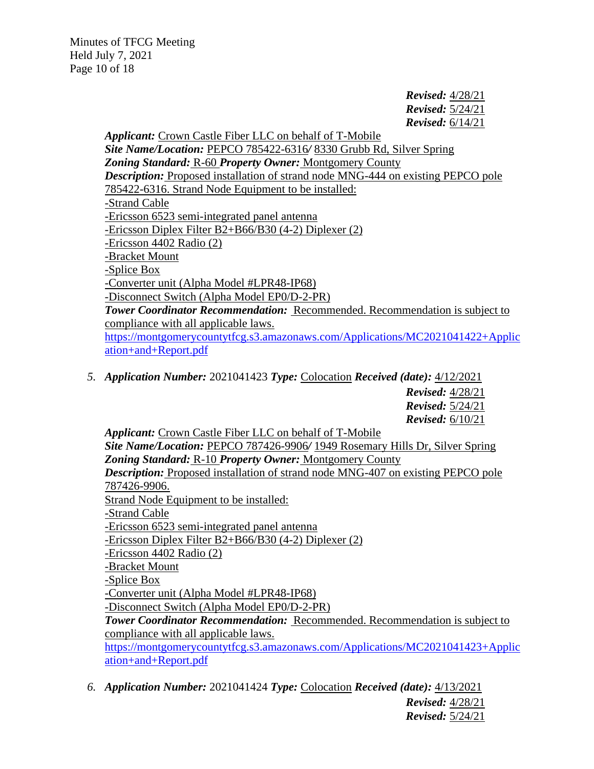*Revised:* 4/28/21 *Revised:* 5/24/21 *Revised:* 6/14/21

*Applicant:* Crown Castle Fiber LLC on behalf of T-Mobile *Site Name/Location:* PEPCO 785422-6316*/* 8330 Grubb Rd, Silver Spring *Zoning Standard:* R-60 *Property Owner:* Montgomery County **Description:** Proposed installation of strand node MNG-444 on existing PEPCO pole 785422-6316. Strand Node Equipment to be installed: -Strand Cable -Ericsson 6523 semi-integrated panel antenna -Ericsson Diplex Filter B2+B66/B30 (4-2) Diplexer (2) -Ericsson 4402 Radio (2) -Bracket Mount -Splice Box -Converter unit (Alpha Model #LPR48-IP68) -Disconnect Switch (Alpha Model EP0/D-2-PR) *Tower Coordinator Recommendation:* Recommended. Recommendation is subject to compliance with all applicable laws. [https://montgomerycountytfcg.s3.amazonaws.com/Applications/MC2021041422+Applic](https://montgomerycountytfcg.s3.amazonaws.com/Applications/MC2021041422+Application+and+Report.pdf) [ation+and+Report.pdf](https://montgomerycountytfcg.s3.amazonaws.com/Applications/MC2021041422+Application+and+Report.pdf)

*5. Application Number:* 2021041423 *Type:* Colocation *Received (date):* 4/12/2021

*Revised:* 4/28/21 *Revised:* 5/24/21 *Revised:* 6/10/21

*Applicant:* Crown Castle Fiber LLC on behalf of T-Mobile *Site Name/Location:* PEPCO 787426-9906*/* 1949 Rosemary Hills Dr, Silver Spring *Zoning Standard:* R-10 *Property Owner:* Montgomery County *Description:* Proposed installation of strand node MNG-407 on existing PEPCO pole 787426-9906. Strand Node Equipment to be installed: -Strand Cable -Ericsson 6523 semi-integrated panel antenna -Ericsson Diplex Filter B2+B66/B30 (4-2) Diplexer (2) -Ericsson 4402 Radio (2) -Bracket Mount -Splice Box -Converter unit (Alpha Model #LPR48-IP68) -Disconnect Switch (Alpha Model EP0/D-2-PR) *Tower Coordinator Recommendation:* Recommended. Recommendation is subject to compliance with all applicable laws. [https://montgomerycountytfcg.s3.amazonaws.com/Applications/MC2021041423+Applic](https://montgomerycountytfcg.s3.amazonaws.com/Applications/MC2021041423+Application+and+Report.pdf) [ation+and+Report.pdf](https://montgomerycountytfcg.s3.amazonaws.com/Applications/MC2021041423+Application+and+Report.pdf)

*6. Application Number:* 2021041424 *Type:* Colocation *Received (date):* 4/13/2021 *Revised:* 4/28/21 *Revised:* 5/24/21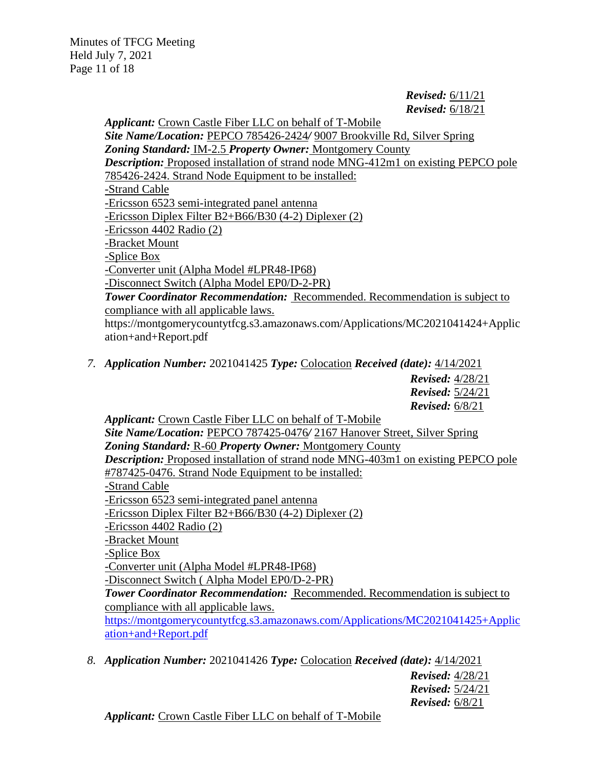*Revised:* 6/11/21 *Revised:* 6/18/21

*Applicant:* Crown Castle Fiber LLC on behalf of T-Mobile *Site Name/Location:* PEPCO 785426-2424*/* 9007 Brookville Rd, Silver Spring *Zoning Standard:* IM-2.5 *Property Owner:* Montgomery County *Description:* Proposed installation of strand node MNG-412m1 on existing PEPCO pole 785426-2424. Strand Node Equipment to be installed: -Strand Cable -Ericsson 6523 semi-integrated panel antenna -Ericsson Diplex Filter B2+B66/B30 (4-2) Diplexer (2) -Ericsson 4402 Radio (2) -Bracket Mount -Splice Box -Converter unit (Alpha Model #LPR48-IP68) -Disconnect Switch (Alpha Model EP0/D-2-PR) *Tower Coordinator Recommendation:* Recommended. Recommendation is subject to compliance with all applicable laws. https://montgomerycountytfcg.s3.amazonaws.com/Applications/MC2021041424+Applic ation+and+Report.pdf

*7. Application Number:* 2021041425 *Type:* Colocation *Received (date):* 4/14/2021

*Revised:* 4/28/21 *Revised:* 5/24/21 *Revised:* 6/8/21

*Applicant:* Crown Castle Fiber LLC on behalf of T-Mobile *Site Name/Location:* PEPCO 787425-0476*/* 2167 Hanover Street, Silver Spring *Zoning Standard:* R-60 *Property Owner:* Montgomery County *Description:* Proposed installation of strand node MNG-403m1 on existing PEPCO pole #787425-0476. Strand Node Equipment to be installed: -Strand Cable -Ericsson 6523 semi-integrated panel antenna -Ericsson Diplex Filter B2+B66/B30 (4-2) Diplexer (2) -Ericsson 4402 Radio (2) -Bracket Mount -Splice Box -Converter unit (Alpha Model #LPR48-IP68) -Disconnect Switch ( Alpha Model EP0/D-2-PR) *Tower Coordinator Recommendation:* Recommended. Recommendation is subject to compliance with all applicable laws. [https://montgomerycountytfcg.s3.amazonaws.com/Applications/MC2021041425+Applic](https://montgomerycountytfcg.s3.amazonaws.com/Applications/MC2021041425+Application+and+Report.pdf) [ation+and+Report.pdf](https://montgomerycountytfcg.s3.amazonaws.com/Applications/MC2021041425+Application+and+Report.pdf)

*8. Application Number:* 2021041426 *Type:* Colocation *Received (date):* 4/14/2021

*Revised:* 4/28/21 *Revised:* 5/24/21 *Revised:* 6/8/21

*Applicant:* Crown Castle Fiber LLC on behalf of T-Mobile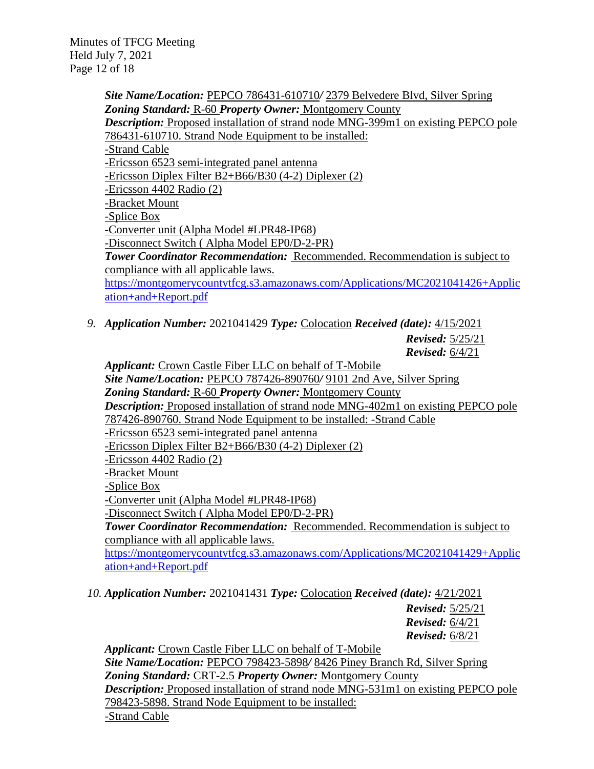Minutes of TFCG Meeting Held July 7, 2021 Page 12 of 18

> *Site Name/Location:* PEPCO 786431-610710*/* 2379 Belvedere Blvd, Silver Spring *Zoning Standard:* R-60 *Property Owner:* Montgomery County *Description:* Proposed installation of strand node MNG-399m1 on existing PEPCO pole 786431-610710. Strand Node Equipment to be installed: -Strand Cable -Ericsson 6523 semi-integrated panel antenna -Ericsson Diplex Filter B2+B66/B30 (4-2) Diplexer (2) -Ericsson 4402 Radio (2) -Bracket Mount -Splice Box -Converter unit (Alpha Model #LPR48-IP68) -Disconnect Switch ( Alpha Model EP0/D-2-PR) *Tower Coordinator Recommendation:* Recommended. Recommendation is subject to compliance with all applicable laws. [https://montgomerycountytfcg.s3.amazonaws.com/Applications/MC2021041426+Applic](https://montgomerycountytfcg.s3.amazonaws.com/Applications/MC2021041426+Application+and+Report.pdf) [ation+and+Report.pdf](https://montgomerycountytfcg.s3.amazonaws.com/Applications/MC2021041426+Application+and+Report.pdf)

*9. Application Number:* 2021041429 *Type:* Colocation *Received (date):* 4/15/2021

*Revised:* 5/25/21 *Revised:* 6/4/21

*Applicant:* Crown Castle Fiber LLC on behalf of T-Mobile *Site Name/Location:* PEPCO 787426-890760*/* 9101 2nd Ave, Silver Spring *Zoning Standard:* R-60 *Property Owner:* Montgomery County *Description:* Proposed installation of strand node MNG-402m1 on existing PEPCO pole 787426-890760. Strand Node Equipment to be installed: -Strand Cable -Ericsson 6523 semi-integrated panel antenna -Ericsson Diplex Filter B2+B66/B30 (4-2) Diplexer (2) -Ericsson 4402 Radio (2) -Bracket Mount -Splice Box -Converter unit (Alpha Model #LPR48-IP68) -Disconnect Switch ( Alpha Model EP0/D-2-PR) *Tower Coordinator Recommendation:* Recommended. Recommendation is subject to compliance with all applicable laws. [https://montgomerycountytfcg.s3.amazonaws.com/Applications/MC2021041429+Applic](https://montgomerycountytfcg.s3.amazonaws.com/Applications/MC2021041429+Application+and+Report.pdf) [ation+and+Report.pdf](https://montgomerycountytfcg.s3.amazonaws.com/Applications/MC2021041429+Application+and+Report.pdf)

*10. Application Number:* 2021041431 *Type:* Colocation *Received (date):* 4/21/2021

*Revised:* 5/25/21 *Revised:* 6/4/21 *Revised:* 6/8/21

*Applicant:* Crown Castle Fiber LLC on behalf of T-Mobile *Site Name/Location:* PEPCO 798423-5898*/* 8426 Piney Branch Rd, Silver Spring *Zoning Standard:* CRT-2.5 *Property Owner:* Montgomery County **Description:** Proposed installation of strand node MNG-531m1 on existing PEPCO pole 798423-5898. Strand Node Equipment to be installed: -Strand Cable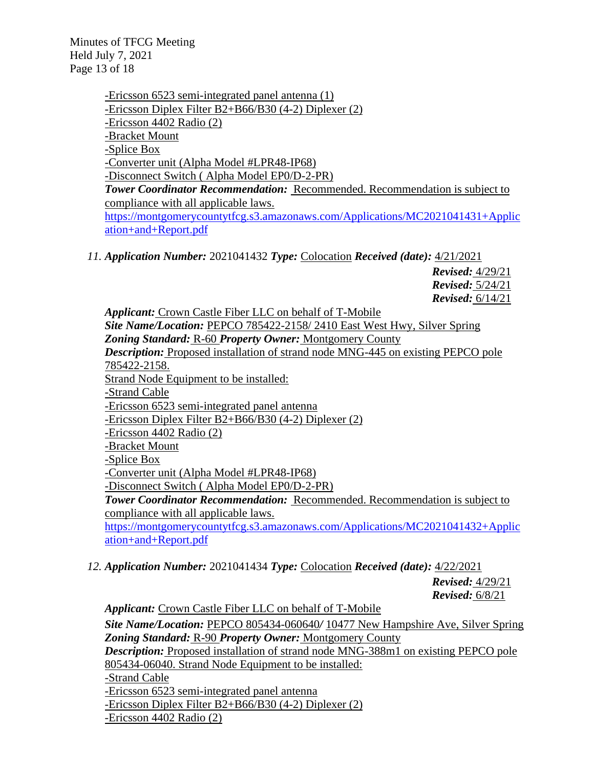Minutes of TFCG Meeting Held July 7, 2021 Page 13 of 18

> -Ericsson 6523 semi-integrated panel antenna (1) -Ericsson Diplex Filter B2+B66/B30 (4-2) Diplexer (2) -Ericsson 4402 Radio (2) -Bracket Mount -Splice Box -Converter unit (Alpha Model #LPR48-IP68) -Disconnect Switch ( Alpha Model EP0/D-2-PR) *Tower Coordinator Recommendation:* Recommended. Recommendation is subject to compliance with all applicable laws. [https://montgomerycountytfcg.s3.amazonaws.com/Applications/MC2021041431+Applic](https://montgomerycountytfcg.s3.amazonaws.com/Applications/MC2021041431+Application+and+Report.pdf) [ation+and+Report.pdf](https://montgomerycountytfcg.s3.amazonaws.com/Applications/MC2021041431+Application+and+Report.pdf)

*11. Application Number:* 2021041432 *Type:* Colocation *Received (date):* 4/21/2021

*Revised:* 4/29/21 *Revised:* 5/24/21 *Revised:* 6/14/21

*Applicant:* Crown Castle Fiber LLC on behalf of T-Mobile *Site Name/Location:* PEPCO 785422-2158/ 2410 East West Hwy, Silver Spring *Zoning Standard:* R-60 *Property Owner:* Montgomery County **Description:** Proposed installation of strand node MNG-445 on existing PEPCO pole 785422-2158. Strand Node Equipment to be installed: -Strand Cable -Ericsson 6523 semi-integrated panel antenna -Ericsson Diplex Filter B2+B66/B30 (4-2) Diplexer (2) -Ericsson 4402 Radio (2) -Bracket Mount -Splice Box -Converter unit (Alpha Model #LPR48-IP68) -Disconnect Switch ( Alpha Model EP0/D-2-PR) *Tower Coordinator Recommendation:* Recommended. Recommendation is subject to compliance with all applicable laws. [https://montgomerycountytfcg.s3.amazonaws.com/Applications/MC2021041432+Applic](https://montgomerycountytfcg.s3.amazonaws.com/Applications/MC2021041432+Application+and+Report.pdf) [ation+and+Report.pdf](https://montgomerycountytfcg.s3.amazonaws.com/Applications/MC2021041432+Application+and+Report.pdf)

*12. Application Number:* 2021041434 *Type:* Colocation *Received (date):* 4/22/2021

*Revised:* 4/29/21 *Revised:* 6/8/21

*Applicant:* Crown Castle Fiber LLC on behalf of T-Mobile *Site Name/Location:* PEPCO 805434-060640*/* 10477 New Hampshire Ave, Silver Spring *Zoning Standard:* R-90 *Property Owner:* Montgomery County *Description:* Proposed installation of strand node MNG-388m1 on existing PEPCO pole 805434-06040. Strand Node Equipment to be installed: -Strand Cable -Ericsson 6523 semi-integrated panel antenna -Ericsson Diplex Filter B2+B66/B30 (4-2) Diplexer (2) -Ericsson 4402 Radio (2)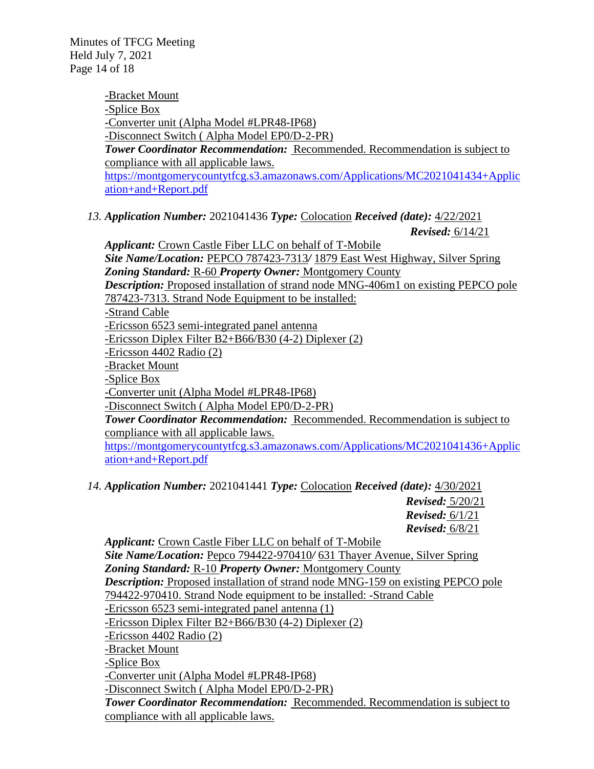Minutes of TFCG Meeting Held July 7, 2021 Page 14 of 18

> -Bracket Mount -Splice Box -Converter unit (Alpha Model #LPR48-IP68) -Disconnect Switch ( Alpha Model EP0/D-2-PR) *Tower Coordinator Recommendation:* Recommended. Recommendation is subject to compliance with all applicable laws. [https://montgomerycountytfcg.s3.amazonaws.com/Applications/MC2021041434+Applic](https://montgomerycountytfcg.s3.amazonaws.com/Applications/MC2021041434+Application+and+Report.pdf) [ation+and+Report.pdf](https://montgomerycountytfcg.s3.amazonaws.com/Applications/MC2021041434+Application+and+Report.pdf)

*13. Application Number:* 2021041436 *Type:* Colocation *Received (date):* 4/22/2021

*Revised:* 6/14/21

*Applicant:* Crown Castle Fiber LLC on behalf of T-Mobile *Site Name/Location:* PEPCO 787423-7313*/* 1879 East West Highway, Silver Spring *Zoning Standard:* R-60 *Property Owner:* Montgomery County **Description:** Proposed installation of strand node MNG-406m1 on existing PEPCO pole 787423-7313. Strand Node Equipment to be installed: -Strand Cable -Ericsson 6523 semi-integrated panel antenna -Ericsson Diplex Filter B2+B66/B30 (4-2) Diplexer (2) -Ericsson 4402 Radio (2) -Bracket Mount -Splice Box -Converter unit (Alpha Model #LPR48-IP68) -Disconnect Switch ( Alpha Model EP0/D-2-PR) *Tower Coordinator Recommendation:* Recommended. Recommendation is subject to compliance with all applicable laws. [https://montgomerycountytfcg.s3.amazonaws.com/Applications/MC2021041436+Applic](https://montgomerycountytfcg.s3.amazonaws.com/Applications/MC2021041436+Application+and+Report.pdf) [ation+and+Report.pdf](https://montgomerycountytfcg.s3.amazonaws.com/Applications/MC2021041436+Application+and+Report.pdf)

*14. Application Number:* 2021041441 *Type:* Colocation *Received (date):* 4/30/2021

*Revised:* 5/20/21 *Revised:* 6/1/21 *Revised:* 6/8/21

*Applicant:* Crown Castle Fiber LLC on behalf of T-Mobile

*Site Name/Location:* Pepco 794422-970410*/* 631 Thayer Avenue, Silver Spring *Zoning Standard:* R-10 *Property Owner:* Montgomery County *Description:* Proposed installation of strand node MNG-159 on existing PEPCO pole

794422-970410. Strand Node equipment to be installed: -Strand Cable

-Ericsson 6523 semi-integrated panel antenna (1)

-Ericsson Diplex Filter B2+B66/B30 (4-2) Diplexer (2)

-Ericsson 4402 Radio (2)

-Bracket Mount

-Splice Box

-Converter unit (Alpha Model #LPR48-IP68)

-Disconnect Switch ( Alpha Model EP0/D-2-PR)

*Tower Coordinator Recommendation:* Recommended. Recommendation is subject to compliance with all applicable laws.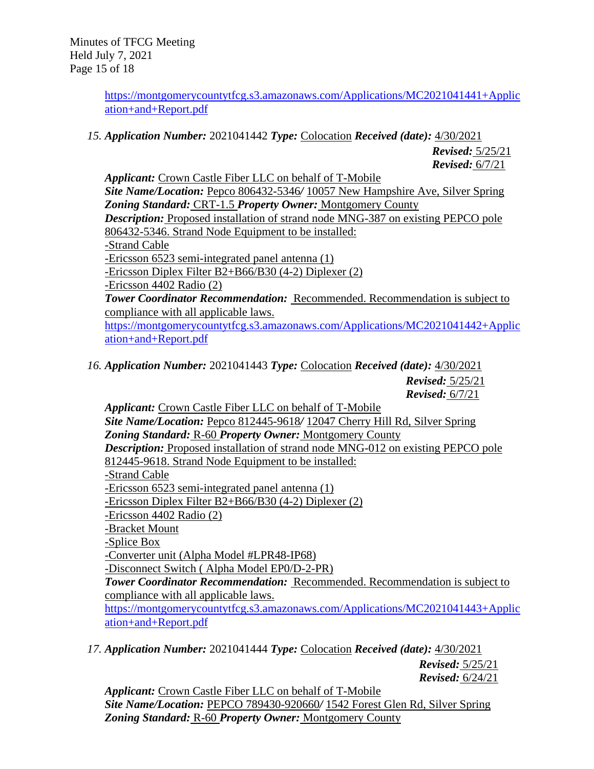Minutes of TFCG Meeting Held July 7, 2021 Page 15 of 18

> [https://montgomerycountytfcg.s3.amazonaws.com/Applications/MC2021041441+Applic](https://montgomerycountytfcg.s3.amazonaws.com/Applications/MC2021041441+Application+and+Report.pdf) [ation+and+Report.pdf](https://montgomerycountytfcg.s3.amazonaws.com/Applications/MC2021041441+Application+and+Report.pdf)

*15. Application Number:* 2021041442 *Type:* Colocation *Received (date):* 4/30/2021

*Revised:* 5/25/21 *Revised:* 6/7/21

*Applicant:* Crown Castle Fiber LLC on behalf of T-Mobile *Site Name/Location:* Pepco 806432-5346*/* 10057 New Hampshire Ave, Silver Spring *Zoning Standard:* CRT-1.5 *Property Owner:* Montgomery County *Description:* Proposed installation of strand node MNG-387 on existing PEPCO pole 806432-5346. Strand Node Equipment to be installed: -Strand Cable -Ericsson 6523 semi-integrated panel antenna (1) -Ericsson Diplex Filter B2+B66/B30 (4-2) Diplexer (2) -Ericsson 4402 Radio (2) *Tower Coordinator Recommendation:* Recommended. Recommendation is subject to compliance with all applicable laws. [https://montgomerycountytfcg.s3.amazonaws.com/Applications/MC2021041442+Applic](https://montgomerycountytfcg.s3.amazonaws.com/Applications/MC2021041442+Application+and+Report.pdf) [ation+and+Report.pdf](https://montgomerycountytfcg.s3.amazonaws.com/Applications/MC2021041442+Application+and+Report.pdf)

*16. Application Number:* 2021041443 *Type:* Colocation *Received (date):* 4/30/2021 *Revised:* 5/25/21

*Revised:* 6/7/21

*Applicant:* Crown Castle Fiber LLC on behalf of T-Mobile *Site Name/Location:* Pepco 812445-9618*/* 12047 Cherry Hill Rd, Silver Spring *Zoning Standard:* R-60 *Property Owner:* Montgomery County *Description:* Proposed installation of strand node MNG-012 on existing PEPCO pole 812445-9618. Strand Node Equipment to be installed: -Strand Cable -Ericsson 6523 semi-integrated panel antenna (1) -Ericsson Diplex Filter B2+B66/B30 (4-2) Diplexer (2) -Ericsson 4402 Radio (2) -Bracket Mount -Splice Box -Converter unit (Alpha Model #LPR48-IP68) -Disconnect Switch ( Alpha Model EP0/D-2-PR) *Tower Coordinator Recommendation:* Recommended. Recommendation is subject to compliance with all applicable laws. [https://montgomerycountytfcg.s3.amazonaws.com/Applications/MC2021041443+Applic](https://montgomerycountytfcg.s3.amazonaws.com/Applications/MC2021041443+Application+and+Report.pdf) [ation+and+Report.pdf](https://montgomerycountytfcg.s3.amazonaws.com/Applications/MC2021041443+Application+and+Report.pdf)

*17. Application Number:* 2021041444 *Type:* Colocation *Received (date):* 4/30/2021

*Revised:* 5/25/21 *Revised:* 6/24/21

*Applicant:* Crown Castle Fiber LLC on behalf of T-Mobile *Site Name/Location:* PEPCO 789430-920660*/* 1542 Forest Glen Rd, Silver Spring *Zoning Standard:* R-60 *Property Owner:* Montgomery County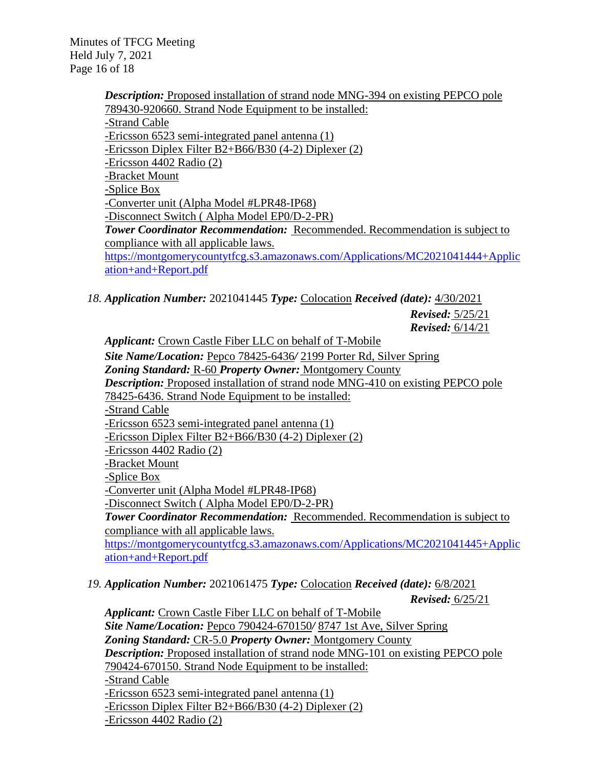Minutes of TFCG Meeting Held July 7, 2021 Page 16 of 18

> **Description:** Proposed installation of strand node MNG-394 on existing PEPCO pole 789430-920660. Strand Node Equipment to be installed: -Strand Cable -Ericsson 6523 semi-integrated panel antenna (1) -Ericsson Diplex Filter B2+B66/B30 (4-2) Diplexer (2) -Ericsson 4402 Radio (2) -Bracket Mount -Splice Box -Converter unit (Alpha Model #LPR48-IP68) -Disconnect Switch ( Alpha Model EP0/D-2-PR) *Tower Coordinator Recommendation:* Recommended. Recommendation is subject to compliance with all applicable laws. [https://montgomerycountytfcg.s3.amazonaws.com/Applications/MC2021041444+Applic](https://montgomerycountytfcg.s3.amazonaws.com/Applications/MC2021041444+Application+and+Report.pdf) [ation+and+Report.pdf](https://montgomerycountytfcg.s3.amazonaws.com/Applications/MC2021041444+Application+and+Report.pdf)

*18. Application Number:* 2021041445 *Type:* Colocation *Received (date):* 4/30/2021

*Revised:* 5/25/21 *Revised:* 6/14/21

*Applicant:* Crown Castle Fiber LLC on behalf of T-Mobile *Site Name/Location:* Pepco 78425-6436*/* 2199 Porter Rd, Silver Spring *Zoning Standard:* R-60 *Property Owner:* Montgomery County *Description:* Proposed installation of strand node MNG-410 on existing PEPCO pole 78425-6436. Strand Node Equipment to be installed: -Strand Cable -Ericsson 6523 semi-integrated panel antenna (1) -Ericsson Diplex Filter B2+B66/B30 (4-2) Diplexer (2) -Ericsson 4402 Radio (2) -Bracket Mount -Splice Box -Converter unit (Alpha Model #LPR48-IP68) -Disconnect Switch ( Alpha Model EP0/D-2-PR) *Tower Coordinator Recommendation:* Recommended. Recommendation is subject to compliance with all applicable laws. [https://montgomerycountytfcg.s3.amazonaws.com/Applications/MC2021041445+Applic](https://montgomerycountytfcg.s3.amazonaws.com/Applications/MC2021041445+Application+and+Report.pdf) [ation+and+Report.pdf](https://montgomerycountytfcg.s3.amazonaws.com/Applications/MC2021041445+Application+and+Report.pdf)

*19. Application Number:* 2021061475 *Type:* Colocation *Received (date):* 6/8/2021

*Revised:* 6/25/21

*Applicant:* Crown Castle Fiber LLC on behalf of T-Mobile *Site Name/Location:* Pepco 790424-670150*/* 8747 1st Ave, Silver Spring *Zoning Standard:* CR-5.0 *Property Owner:* Montgomery County *Description:* Proposed installation of strand node MNG-101 on existing PEPCO pole 790424-670150. Strand Node Equipment to be installed: -Strand Cable -Ericsson 6523 semi-integrated panel antenna (1) -Ericsson Diplex Filter B2+B66/B30 (4-2) Diplexer (2) -Ericsson 4402 Radio (2)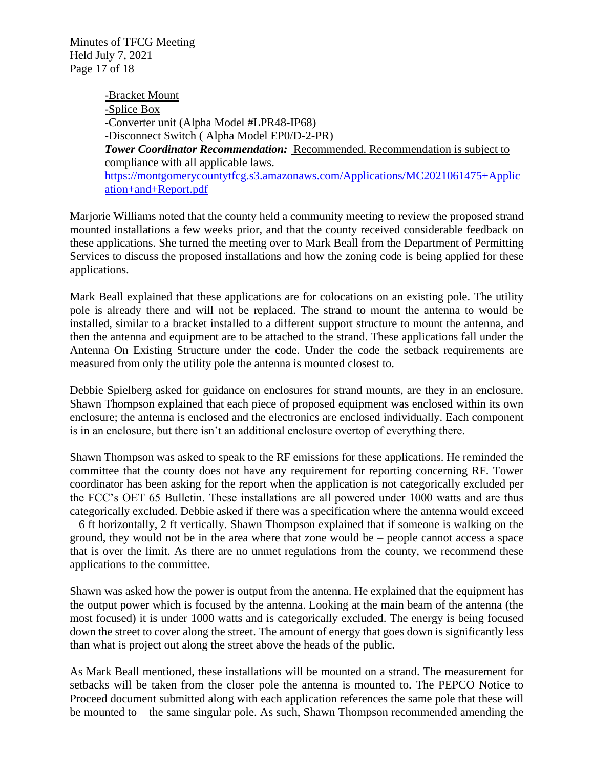Minutes of TFCG Meeting Held July 7, 2021 Page 17 of 18

> -Bracket Mount -Splice Box -Converter unit (Alpha Model #LPR48-IP68) -Disconnect Switch ( Alpha Model EP0/D-2-PR) *Tower Coordinator Recommendation:* Recommended. Recommendation is subject to compliance with all applicable laws. [https://montgomerycountytfcg.s3.amazonaws.com/Applications/MC2021061475+Applic](https://montgomerycountytfcg.s3.amazonaws.com/Applications/MC2021061475+Application+and+Report.pdf) [ation+and+Report.pdf](https://montgomerycountytfcg.s3.amazonaws.com/Applications/MC2021061475+Application+and+Report.pdf)

Marjorie Williams noted that the county held a community meeting to review the proposed strand mounted installations a few weeks prior, and that the county received considerable feedback on these applications. She turned the meeting over to Mark Beall from the Department of Permitting Services to discuss the proposed installations and how the zoning code is being applied for these applications.

Mark Beall explained that these applications are for colocations on an existing pole. The utility pole is already there and will not be replaced. The strand to mount the antenna to would be installed, similar to a bracket installed to a different support structure to mount the antenna, and then the antenna and equipment are to be attached to the strand. These applications fall under the Antenna On Existing Structure under the code. Under the code the setback requirements are measured from only the utility pole the antenna is mounted closest to.

Debbie Spielberg asked for guidance on enclosures for strand mounts, are they in an enclosure. Shawn Thompson explained that each piece of proposed equipment was enclosed within its own enclosure; the antenna is enclosed and the electronics are enclosed individually. Each component is in an enclosure, but there isn't an additional enclosure overtop of everything there.

Shawn Thompson was asked to speak to the RF emissions for these applications. He reminded the committee that the county does not have any requirement for reporting concerning RF. Tower coordinator has been asking for the report when the application is not categorically excluded per the FCC's OET 65 Bulletin. These installations are all powered under 1000 watts and are thus categorically excluded. Debbie asked if there was a specification where the antenna would exceed – 6 ft horizontally, 2 ft vertically. Shawn Thompson explained that if someone is walking on the ground, they would not be in the area where that zone would be – people cannot access a space that is over the limit. As there are no unmet regulations from the county, we recommend these applications to the committee.

Shawn was asked how the power is output from the antenna. He explained that the equipment has the output power which is focused by the antenna. Looking at the main beam of the antenna (the most focused) it is under 1000 watts and is categorically excluded. The energy is being focused down the street to cover along the street. The amount of energy that goes down is significantly less than what is project out along the street above the heads of the public.

As Mark Beall mentioned, these installations will be mounted on a strand. The measurement for setbacks will be taken from the closer pole the antenna is mounted to. The PEPCO Notice to Proceed document submitted along with each application references the same pole that these will be mounted to – the same singular pole. As such, Shawn Thompson recommended amending the